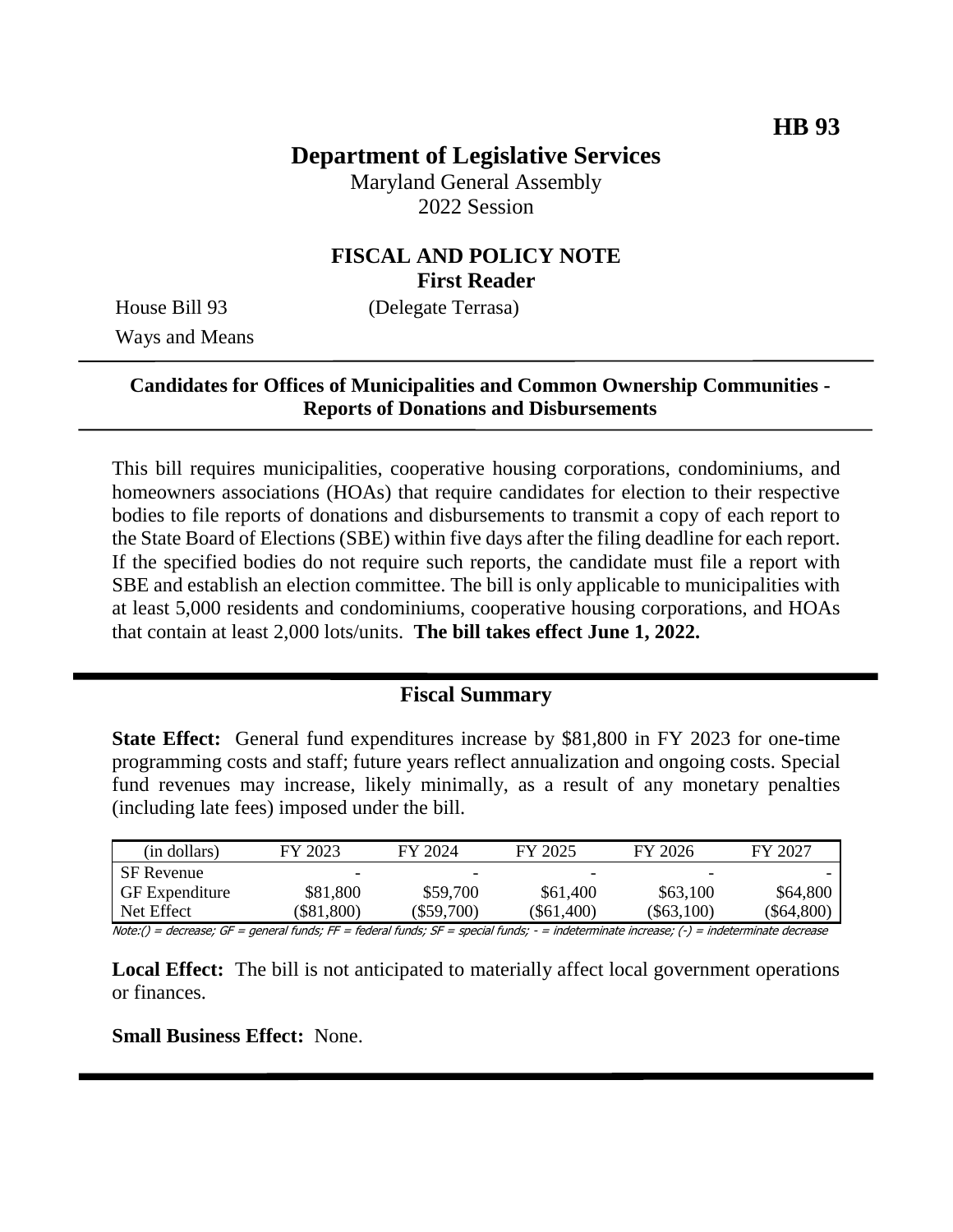# **Department of Legislative Services**

Maryland General Assembly 2022 Session

## **FISCAL AND POLICY NOTE First Reader**

Ways and Means

House Bill 93 (Delegate Terrasa)

## **Candidates for Offices of Municipalities and Common Ownership Communities - Reports of Donations and Disbursements**

This bill requires municipalities, cooperative housing corporations, condominiums, and homeowners associations (HOAs) that require candidates for election to their respective bodies to file reports of donations and disbursements to transmit a copy of each report to the State Board of Elections (SBE) within five days after the filing deadline for each report. If the specified bodies do not require such reports, the candidate must file a report with SBE and establish an election committee. The bill is only applicable to municipalities with at least 5,000 residents and condominiums, cooperative housing corporations, and HOAs that contain at least 2,000 lots/units. **The bill takes effect June 1, 2022.**

# **Fiscal Summary**

**State Effect:** General fund expenditures increase by \$81,800 in FY 2023 for one-time programming costs and staff; future years reflect annualization and ongoing costs. Special fund revenues may increase, likely minimally, as a result of any monetary penalties (including late fees) imposed under the bill.

| (in dollars)          | FY 2023  | FY 2024  | FY 2025      | FY 2026      | FY 2027      |
|-----------------------|----------|----------|--------------|--------------|--------------|
| <b>SF</b> Revenue     | -        | -        | -            | -            |              |
| <b>GF</b> Expenditure | \$81,800 | \$59,700 | \$61,400     | \$63,100     | \$64,800     |
| Net Effect            | \$81,800 | \$59,700 | $(\$61,400)$ | $(\$63,100)$ | $(\$64,800)$ |

Note:() = decrease; GF = general funds; FF = federal funds; SF = special funds; - = indeterminate increase; (-) = indeterminate decrease

**Local Effect:** The bill is not anticipated to materially affect local government operations or finances.

**Small Business Effect:** None.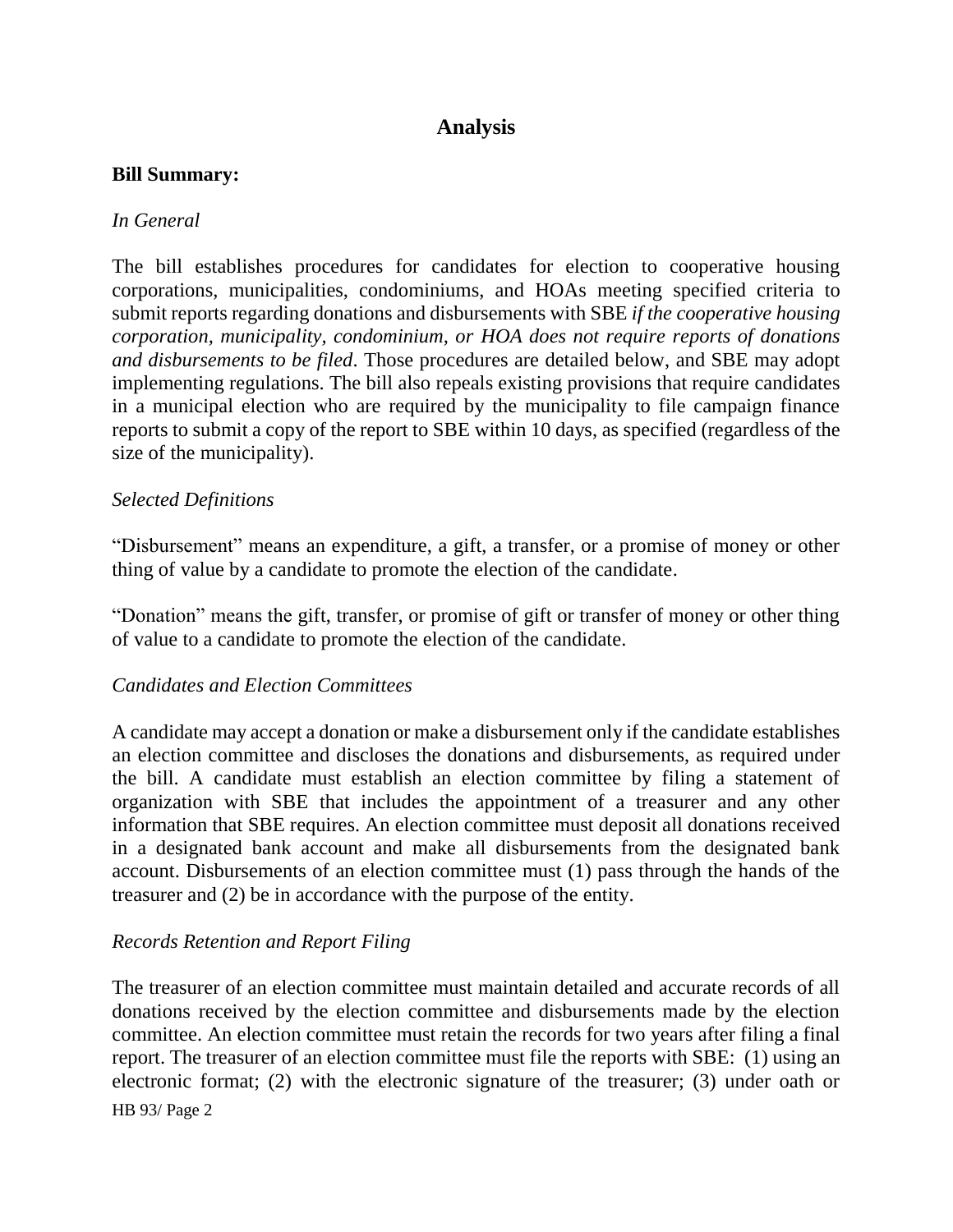# **Analysis**

#### **Bill Summary:**

### *In General*

The bill establishes procedures for candidates for election to cooperative housing corporations, municipalities, condominiums, and HOAs meeting specified criteria to submit reports regarding donations and disbursements with SBE *if the cooperative housing corporation, municipality, condominium, or HOA does not require reports of donations and disbursements to be filed*. Those procedures are detailed below, and SBE may adopt implementing regulations. The bill also repeals existing provisions that require candidates in a municipal election who are required by the municipality to file campaign finance reports to submit a copy of the report to SBE within 10 days, as specified (regardless of the size of the municipality).

### *Selected Definitions*

"Disbursement" means an expenditure, a gift, a transfer, or a promise of money or other thing of value by a candidate to promote the election of the candidate.

"Donation" means the gift, transfer, or promise of gift or transfer of money or other thing of value to a candidate to promote the election of the candidate.

### *Candidates and Election Committees*

A candidate may accept a donation or make a disbursement only if the candidate establishes an election committee and discloses the donations and disbursements, as required under the bill. A candidate must establish an election committee by filing a statement of organization with SBE that includes the appointment of a treasurer and any other information that SBE requires. An election committee must deposit all donations received in a designated bank account and make all disbursements from the designated bank account. Disbursements of an election committee must (1) pass through the hands of the treasurer and (2) be in accordance with the purpose of the entity.

### *Records Retention and Report Filing*

HB 93/ Page 2 The treasurer of an election committee must maintain detailed and accurate records of all donations received by the election committee and disbursements made by the election committee. An election committee must retain the records for two years after filing a final report. The treasurer of an election committee must file the reports with SBE: (1) using an electronic format; (2) with the electronic signature of the treasurer; (3) under oath or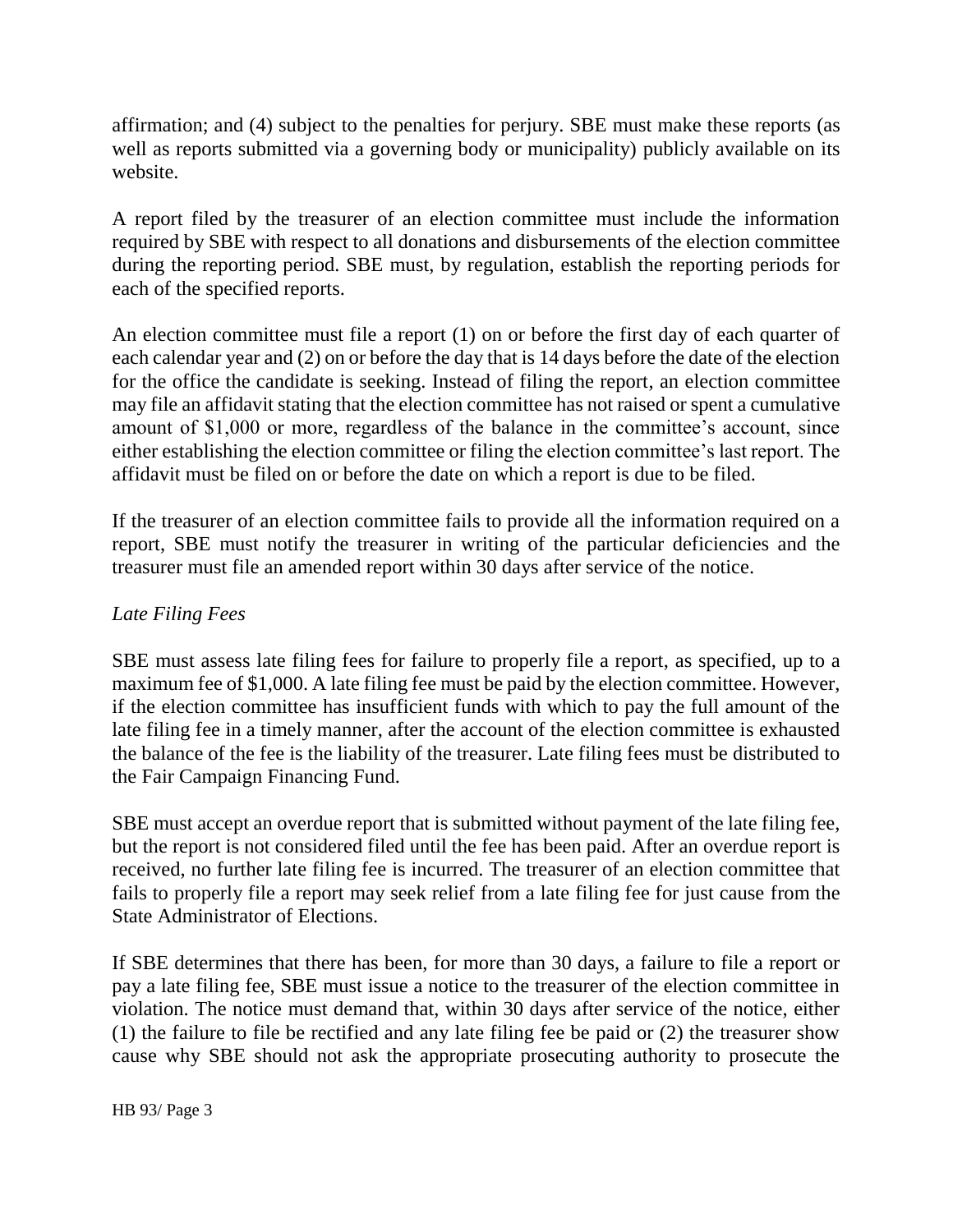affirmation; and (4) subject to the penalties for perjury. SBE must make these reports (as well as reports submitted via a governing body or municipality) publicly available on its website.

A report filed by the treasurer of an election committee must include the information required by SBE with respect to all donations and disbursements of the election committee during the reporting period. SBE must, by regulation, establish the reporting periods for each of the specified reports.

An election committee must file a report (1) on or before the first day of each quarter of each calendar year and (2) on or before the day that is 14 days before the date of the election for the office the candidate is seeking. Instead of filing the report, an election committee may file an affidavit stating that the election committee has not raised or spent a cumulative amount of \$1,000 or more, regardless of the balance in the committee's account, since either establishing the election committee or filing the election committee's last report. The affidavit must be filed on or before the date on which a report is due to be filed.

If the treasurer of an election committee fails to provide all the information required on a report, SBE must notify the treasurer in writing of the particular deficiencies and the treasurer must file an amended report within 30 days after service of the notice.

### *Late Filing Fees*

SBE must assess late filing fees for failure to properly file a report, as specified, up to a maximum fee of \$1,000. A late filing fee must be paid by the election committee. However, if the election committee has insufficient funds with which to pay the full amount of the late filing fee in a timely manner, after the account of the election committee is exhausted the balance of the fee is the liability of the treasurer. Late filing fees must be distributed to the Fair Campaign Financing Fund.

SBE must accept an overdue report that is submitted without payment of the late filing fee, but the report is not considered filed until the fee has been paid. After an overdue report is received, no further late filing fee is incurred. The treasurer of an election committee that fails to properly file a report may seek relief from a late filing fee for just cause from the State Administrator of Elections.

If SBE determines that there has been, for more than 30 days, a failure to file a report or pay a late filing fee, SBE must issue a notice to the treasurer of the election committee in violation. The notice must demand that, within 30 days after service of the notice, either (1) the failure to file be rectified and any late filing fee be paid or (2) the treasurer show cause why SBE should not ask the appropriate prosecuting authority to prosecute the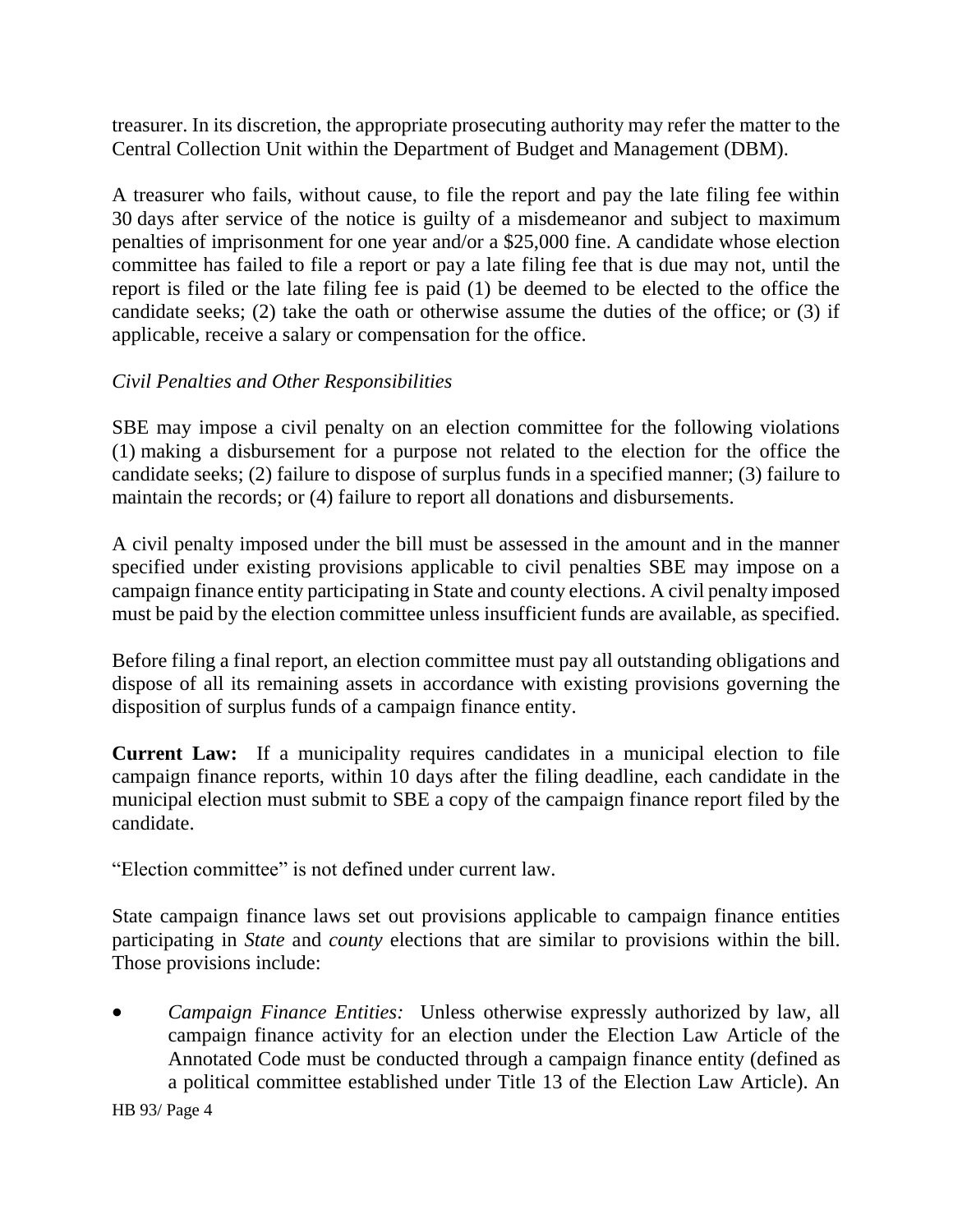treasurer. In its discretion, the appropriate prosecuting authority may refer the matter to the Central Collection Unit within the Department of Budget and Management (DBM).

A treasurer who fails, without cause, to file the report and pay the late filing fee within 30 days after service of the notice is guilty of a misdemeanor and subject to maximum penalties of imprisonment for one year and/or a \$25,000 fine. A candidate whose election committee has failed to file a report or pay a late filing fee that is due may not, until the report is filed or the late filing fee is paid (1) be deemed to be elected to the office the candidate seeks; (2) take the oath or otherwise assume the duties of the office; or (3) if applicable, receive a salary or compensation for the office.

## *Civil Penalties and Other Responsibilities*

SBE may impose a civil penalty on an election committee for the following violations (1) making a disbursement for a purpose not related to the election for the office the candidate seeks; (2) failure to dispose of surplus funds in a specified manner; (3) failure to maintain the records; or (4) failure to report all donations and disbursements.

A civil penalty imposed under the bill must be assessed in the amount and in the manner specified under existing provisions applicable to civil penalties SBE may impose on a campaign finance entity participating in State and county elections. A civil penalty imposed must be paid by the election committee unless insufficient funds are available, as specified.

Before filing a final report, an election committee must pay all outstanding obligations and dispose of all its remaining assets in accordance with existing provisions governing the disposition of surplus funds of a campaign finance entity.

**Current Law:** If a municipality requires candidates in a municipal election to file campaign finance reports, within 10 days after the filing deadline, each candidate in the municipal election must submit to SBE a copy of the campaign finance report filed by the candidate.

"Election committee" is not defined under current law.

State campaign finance laws set out provisions applicable to campaign finance entities participating in *State* and *county* elections that are similar to provisions within the bill. Those provisions include:

 *Campaign Finance Entities:* Unless otherwise expressly authorized by law, all campaign finance activity for an election under the Election Law Article of the Annotated Code must be conducted through a campaign finance entity (defined as a political committee established under Title 13 of the Election Law Article). An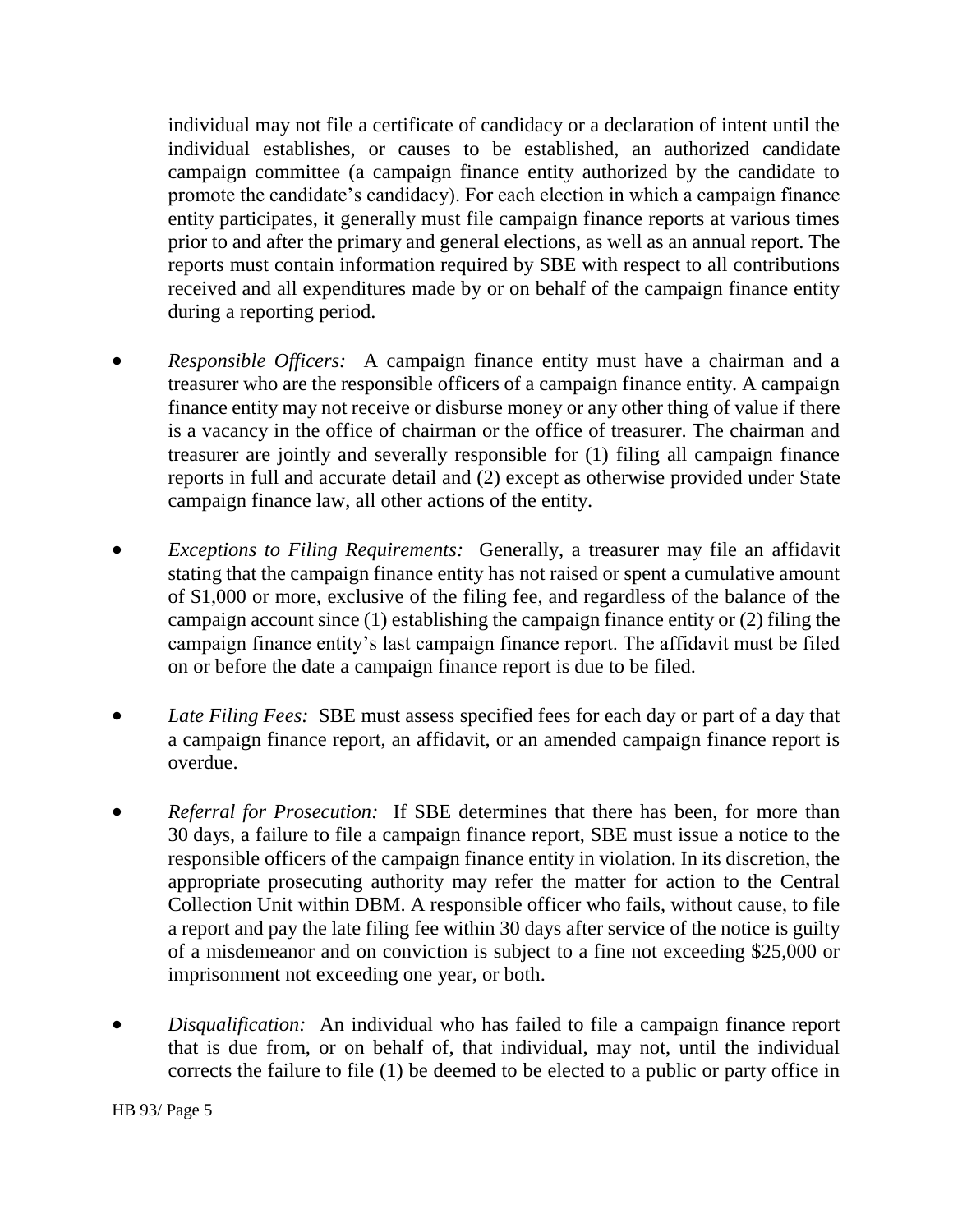individual may not file a certificate of candidacy or a declaration of intent until the individual establishes, or causes to be established, an authorized candidate campaign committee (a campaign finance entity authorized by the candidate to promote the candidate's candidacy). For each election in which a campaign finance entity participates, it generally must file campaign finance reports at various times prior to and after the primary and general elections, as well as an annual report. The reports must contain information required by SBE with respect to all contributions received and all expenditures made by or on behalf of the campaign finance entity during a reporting period.

- *Responsible Officers:* A campaign finance entity must have a chairman and a treasurer who are the responsible officers of a campaign finance entity. A campaign finance entity may not receive or disburse money or any other thing of value if there is a vacancy in the office of chairman or the office of treasurer. The chairman and treasurer are jointly and severally responsible for (1) filing all campaign finance reports in full and accurate detail and (2) except as otherwise provided under State campaign finance law, all other actions of the entity.
- *Exceptions to Filing Requirements:* Generally, a treasurer may file an affidavit stating that the campaign finance entity has not raised or spent a cumulative amount of \$1,000 or more, exclusive of the filing fee, and regardless of the balance of the campaign account since (1) establishing the campaign finance entity or (2) filing the campaign finance entity's last campaign finance report. The affidavit must be filed on or before the date a campaign finance report is due to be filed.
- *Late Filing Fees:* SBE must assess specified fees for each day or part of a day that a campaign finance report, an affidavit, or an amended campaign finance report is overdue.
- *Referral for Prosecution:* If SBE determines that there has been, for more than 30 days, a failure to file a campaign finance report, SBE must issue a notice to the responsible officers of the campaign finance entity in violation. In its discretion, the appropriate prosecuting authority may refer the matter for action to the Central Collection Unit within DBM. A responsible officer who fails, without cause, to file a report and pay the late filing fee within 30 days after service of the notice is guilty of a misdemeanor and on conviction is subject to a fine not exceeding \$25,000 or imprisonment not exceeding one year, or both.
- *Disqualification:* An individual who has failed to file a campaign finance report that is due from, or on behalf of, that individual, may not, until the individual corrects the failure to file (1) be deemed to be elected to a public or party office in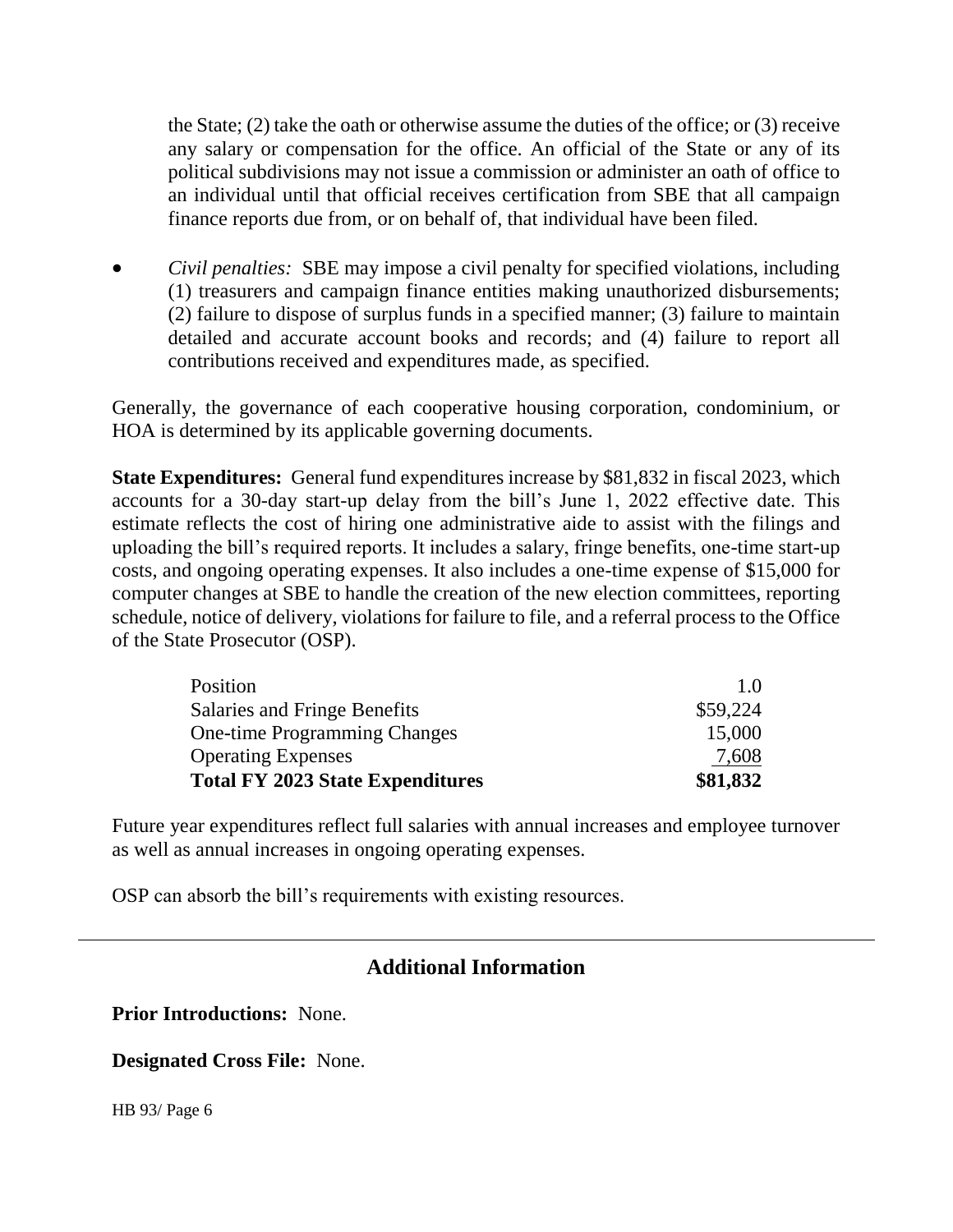the State; (2) take the oath or otherwise assume the duties of the office; or (3) receive any salary or compensation for the office. An official of the State or any of its political subdivisions may not issue a commission or administer an oath of office to an individual until that official receives certification from SBE that all campaign finance reports due from, or on behalf of, that individual have been filed.

 *Civil penalties:* SBE may impose a civil penalty for specified violations, including (1) treasurers and campaign finance entities making unauthorized disbursements; (2) failure to dispose of surplus funds in a specified manner; (3) failure to maintain detailed and accurate account books and records; and (4) failure to report all contributions received and expenditures made, as specified.

Generally, the governance of each cooperative housing corporation, condominium, or HOA is determined by its applicable governing documents.

**State Expenditures:** General fund expenditures increase by \$81,832 in fiscal 2023, which accounts for a 30-day start-up delay from the bill's June 1, 2022 effective date. This estimate reflects the cost of hiring one administrative aide to assist with the filings and uploading the bill's required reports. It includes a salary, fringe benefits, one-time start-up costs, and ongoing operating expenses. It also includes a one-time expense of \$15,000 for computer changes at SBE to handle the creation of the new election committees, reporting schedule, notice of delivery, violations for failure to file, and a referral process to the Office of the State Prosecutor (OSP).

| Position                                | 1.0      |
|-----------------------------------------|----------|
| Salaries and Fringe Benefits            | \$59,224 |
| <b>One-time Programming Changes</b>     | 15,000   |
| <b>Operating Expenses</b>               | 7,608    |
| <b>Total FY 2023 State Expenditures</b> | \$81,832 |

Future year expenditures reflect full salaries with annual increases and employee turnover as well as annual increases in ongoing operating expenses.

OSP can absorb the bill's requirements with existing resources.

# **Additional Information**

**Prior Introductions:** None.

**Designated Cross File:** None.